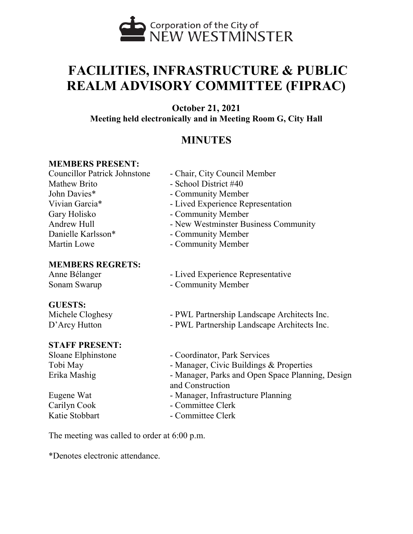

# **FACILITIES, INFRASTRUCTURE & PUBLIC REALM ADVISORY COMMITTEE (FIPRAC)**

**October 21, 2021**

**Meeting held electronically and in Meeting Room G, City Hall**

# **MINUTES**

# **MEMBERS PRESENT:**

Mathew Brito - School District #40 John Davies\* - Community Member Gary Holisko - Community Member Danielle Karlsson\* - Community Member Martin Lowe **- Community Member** 

# **MEMBERS REGRETS:**

# **GUESTS:**

# **STAFF PRESENT:**

- Councillor Patrick Johnstone Chair, City Council Member
- Vivian Garcia\* Lived Experience Representation
	-
- Andrew Hull New Westminster Business Community
	-
	-
- Anne Bélanger Lived Experience Representative
- Sonam Swarup Community Member

Michele Cloghesy - PWL Partnership Landscape Architects Inc.

- D'Arcy Hutton PWL Partnership Landscape Architects Inc.
- Sloane Elphinstone Coordinator, Park Services Tobi May **- Manager, Civic Buildings & Properties** Erika Mashig **- Manager, Parks and Open Space Planning, Design** and Construction Eugene Wat - Manager, Infrastructure Planning Carilyn Cook - Committee Clerk
- Katie Stobbart Committee Clerk

The meeting was called to order at 6:00 p.m.

\*Denotes electronic attendance.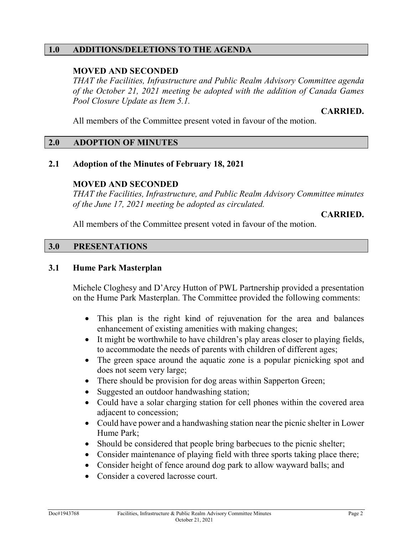## **1.0 ADDITIONS/DELETIONS TO THE AGENDA**

# **MOVED AND SECONDED**

*THAT the Facilities, Infrastructure and Public Realm Advisory Committee agenda of the October 21, 2021 meeting be adopted with the addition of Canada Games Pool Closure Update as Item 5.1.* 

**CARRIED.**

All members of the Committee present voted in favour of the motion.

#### **2.0 ADOPTION OF MINUTES**

#### **2.1 Adoption of the Minutes of February 18, 2021**

#### **MOVED AND SECONDED**

*THAT the Facilities, Infrastructure, and Public Realm Advisory Committee minutes of the June 17, 2021 meeting be adopted as circulated.* 

**CARRIED.**

All members of the Committee present voted in favour of the motion.

#### **3.0 PRESENTATIONS**

#### **3.1 Hume Park Masterplan**

Michele Cloghesy and D'Arcy Hutton of PWL Partnership provided a presentation on the Hume Park Masterplan. The Committee provided the following comments:

- This plan is the right kind of rejuvenation for the area and balances enhancement of existing amenities with making changes;
- It might be worthwhile to have children's play areas closer to playing fields, to accommodate the needs of parents with children of different ages;
- The green space around the aquatic zone is a popular picnicking spot and does not seem very large;
- There should be provision for dog areas within Sapperton Green;
- Suggested an outdoor handwashing station;
- Could have a solar charging station for cell phones within the covered area adjacent to concession;
- Could have power and a handwashing station near the picnic shelter in Lower Hume Park;
- Should be considered that people bring barbecues to the picnic shelter;
- Consider maintenance of playing field with three sports taking place there;
- Consider height of fence around dog park to allow wayward balls; and
- Consider a covered lacrosse court.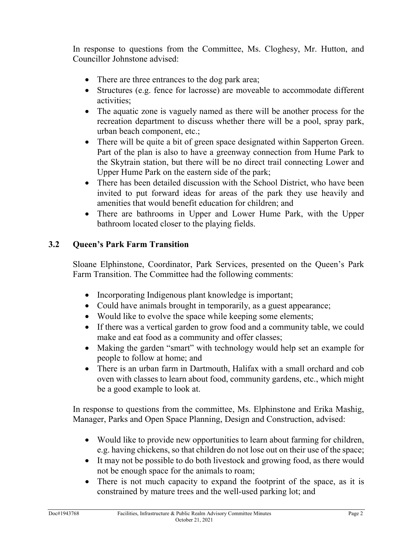In response to questions from the Committee, Ms. Cloghesy, Mr. Hutton, and Councillor Johnstone advised:

- There are three entrances to the dog park area;
- Structures (e.g. fence for lacrosse) are moveable to accommodate different activities;
- The aquatic zone is vaguely named as there will be another process for the recreation department to discuss whether there will be a pool, spray park, urban beach component, etc.;
- There will be quite a bit of green space designated within Sapperton Green. Part of the plan is also to have a greenway connection from Hume Park to the Skytrain station, but there will be no direct trail connecting Lower and Upper Hume Park on the eastern side of the park;
- There has been detailed discussion with the School District, who have been invited to put forward ideas for areas of the park they use heavily and amenities that would benefit education for children; and
- There are bathrooms in Upper and Lower Hume Park, with the Upper bathroom located closer to the playing fields.

# **3.2 Queen's Park Farm Transition**

Sloane Elphinstone, Coordinator, Park Services, presented on the Queen's Park Farm Transition. The Committee had the following comments:

- Incorporating Indigenous plant knowledge is important;
- Could have animals brought in temporarily, as a guest appearance;
- Would like to evolve the space while keeping some elements;
- If there was a vertical garden to grow food and a community table, we could make and eat food as a community and offer classes;
- Making the garden "smart" with technology would help set an example for people to follow at home; and
- There is an urban farm in Dartmouth, Halifax with a small orchard and cob oven with classes to learn about food, community gardens, etc., which might be a good example to look at.

In response to questions from the committee, Ms. Elphinstone and Erika Mashig, Manager, Parks and Open Space Planning, Design and Construction, advised:

- Would like to provide new opportunities to learn about farming for children, e.g. having chickens, so that children do not lose out on their use of the space;
- It may not be possible to do both livestock and growing food, as there would not be enough space for the animals to roam;
- There is not much capacity to expand the footprint of the space, as it is constrained by mature trees and the well-used parking lot; and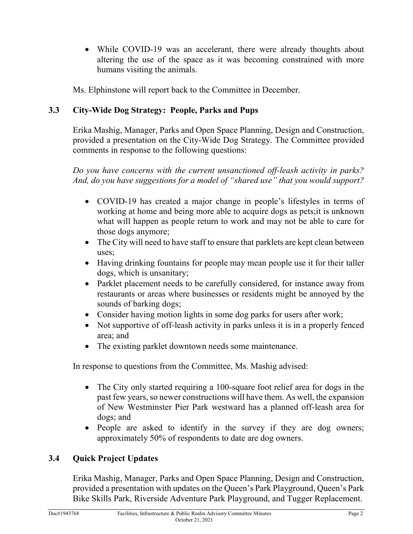• While COVID-19 was an accelerant, there were already thoughts about altering the use of the space as it was becoming constrained with more humans visiting the animals.

Ms. Elphinstone will report back to the Committee in December.

# **3.3 City-Wide Dog Strategy: People, Parks and Pups**

Erika Mashig, Manager, Parks and Open Space Planning, Design and Construction, provided a presentation on the City-Wide Dog Strategy. The Committee provided comments in response to the following questions:

*Do you have concerns with the current unsanctioned off-leash activity in parks? And, do you have suggestions for a model of "shared use" that you would support?*

- COVID-19 has created a major change in people's lifestyles in terms of working at home and being more able to acquire dogs as pets;it is unknown what will happen as people return to work and may not be able to care for those dogs anymore;
- The City will need to have staff to ensure that parklets are kept clean between uses;
- Having drinking fountains for people may mean people use it for their taller dogs, which is unsanitary;
- Parklet placement needs to be carefully considered, for instance away from restaurants or areas where businesses or residents might be annoyed by the sounds of barking dogs;
- Consider having motion lights in some dog parks for users after work;
- Not supportive of off-leash activity in parks unless it is in a properly fenced area; and
- The existing parklet downtown needs some maintenance.

In response to questions from the Committee, Ms. Mashig advised:

- The City only started requiring a 100-square foot relief area for dogs in the past few years, so newer constructions will have them. As well, the expansion of New Westminster Pier Park westward has a planned off-leash area for dogs; and
- People are asked to identify in the survey if they are dog owners; approximately 50% of respondents to date are dog owners.

# **3.4 Quick Project Updates**

Erika Mashig, Manager, Parks and Open Space Planning, Design and Construction, provided a presentation with updates on the Queen's Park Playground, Queen's Park Bike Skills Park, Riverside Adventure Park Playground, and Tugger Replacement.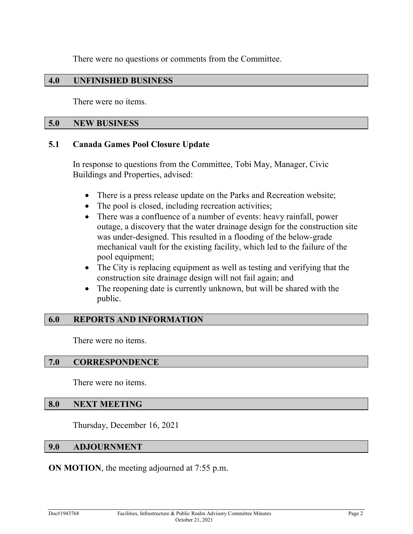There were no questions or comments from the Committee.

## **4.0 UNFINISHED BUSINESS**

There were no items.

#### **5.0 NEW BUSINESS**

#### **5.1 Canada Games Pool Closure Update**

In response to questions from the Committee, Tobi May, Manager, Civic Buildings and Properties, advised:

- There is a press release update on the Parks and Recreation website;
- The pool is closed, including recreation activities;
- There was a confluence of a number of events: heavy rainfall, power outage, a discovery that the water drainage design for the construction site was under-designed. This resulted in a flooding of the below-grade mechanical vault for the existing facility, which led to the failure of the pool equipment;
- The City is replacing equipment as well as testing and verifying that the construction site drainage design will not fail again; and
- The reopening date is currently unknown, but will be shared with the public.

#### **6.0 REPORTS AND INFORMATION**

There were no items.

#### **7.0 CORRESPONDENCE**

There were no items.

# **8.0 NEXT MEETING**

Thursday, December 16, 2021

#### **9.0 ADJOURNMENT**

**ON MOTION**, the meeting adjourned at 7:55 p.m.